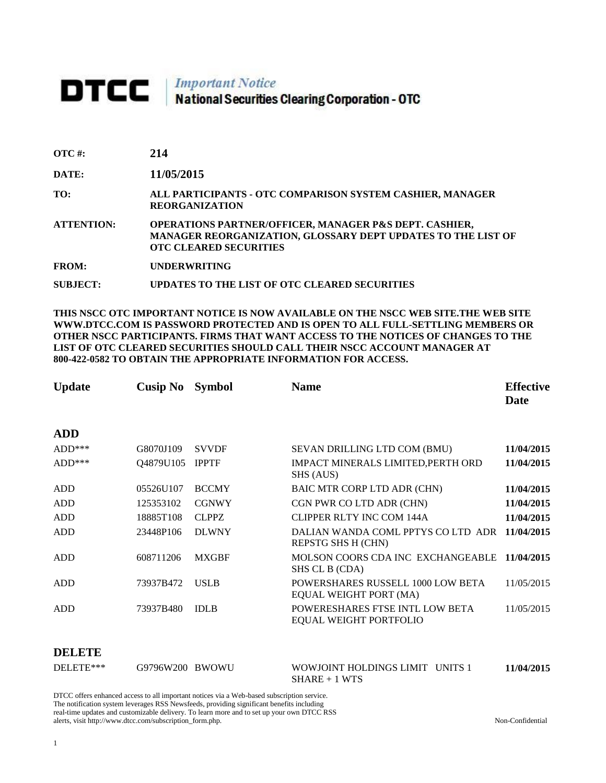# DTCC | Important Notice<br>National Securities Clearing Corporation - OTC

**OTC #: 214**

**DATE: 11/05/2015**

**TO: ALL PARTICIPANTS - OTC COMPARISON SYSTEM CASHIER, MANAGER REORGANIZATION** 

**ATTENTION: OPERATIONS PARTNER/OFFICER, MANAGER P&S DEPT. CASHIER, MANAGER REORGANIZATION, GLOSSARY DEPT UPDATES TO THE LIST OF OTC CLEARED SECURITIES** 

**FROM: UNDERWRITING**

**SUBJECT: UPDATES TO THE LIST OF OTC CLEARED SECURITIES**

**THIS NSCC OTC IMPORTANT NOTICE IS NOW AVAILABLE ON THE NSCC WEB SITE.THE WEB SITE WWW.DTCC.COM IS PASSWORD PROTECTED AND IS OPEN TO ALL FULL-SETTLING MEMBERS OR OTHER NSCC PARTICIPANTS. FIRMS THAT WANT ACCESS TO THE NOTICES OF CHANGES TO THE LIST OF OTC CLEARED SECURITIES SHOULD CALL THEIR NSCC ACCOUNT MANAGER AT 800-422-0582 TO OBTAIN THE APPROPRIATE INFORMATION FOR ACCESS.** 

| <b>Update</b> | <b>Cusip No</b> | <b>Symbol</b> | <b>Name</b>                                                      | <b>Effective</b><br>Date |
|---------------|-----------------|---------------|------------------------------------------------------------------|--------------------------|
| <b>ADD</b>    |                 |               |                                                                  |                          |
| $ADD***$      | G8070J109       | <b>SVVDF</b>  | SEVAN DRILLING LTD COM (BMU)                                     | 11/04/2015               |
| $ADD***$      | Q4879U105       | <b>IPPTF</b>  | <b>IMPACT MINERALS LIMITED, PERTH ORD</b><br>SHS (AUS)           | 11/04/2015               |
| <b>ADD</b>    | 05526U107       | <b>BCCMY</b>  | BAIC MTR CORP LTD ADR (CHN)                                      | 11/04/2015               |
| <b>ADD</b>    | 125353102       | <b>CGNWY</b>  | CGN PWR CO LTD ADR (CHN)                                         | 11/04/2015               |
| ADD           | 18885T108       | <b>CLPPZ</b>  | <b>CLIPPER RLTY INC COM 144A</b>                                 | 11/04/2015               |
| <b>ADD</b>    | 23448P106       | <b>DLWNY</b>  | DALIAN WANDA COML PPTYS CO LTD ADR<br>REPSTG SHS H (CHN)         | 11/04/2015               |
| <b>ADD</b>    | 608711206       | <b>MXGBF</b>  | MOLSON COORS CDA INC EXCHANGEABLE<br>SHS CL B (CDA)              | 11/04/2015               |
| <b>ADD</b>    | 73937B472       | <b>USLB</b>   | POWERSHARES RUSSELL 1000 LOW BETA<br>EQUAL WEIGHT PORT (MA)      | 11/05/2015               |
| <b>ADD</b>    | 73937B480       | <b>IDLB</b>   | POWERESHARES FTSE INTL LOW BETA<br><b>EQUAL WEIGHT PORTFOLIO</b> | 11/05/2015               |

### **DELETE**

| DELETE*** | G9796W200 BWOWU | WOWJOINT HOLDINGS LIMIT UNITS 1 | 11/04/2015 |
|-----------|-----------------|---------------------------------|------------|
|           |                 | $SHARE + 1 WTS$                 |            |

DTCC offers enhanced access to all important notices via a Web-based subscription service.

The notification system leverages RSS Newsfeeds, providing significant benefits including

real-time updates and customizable delivery. To learn more and to set up your own DTCC RSS alerts, visit http://www.dtcc.com/subscription\_form.php. Non-Confidential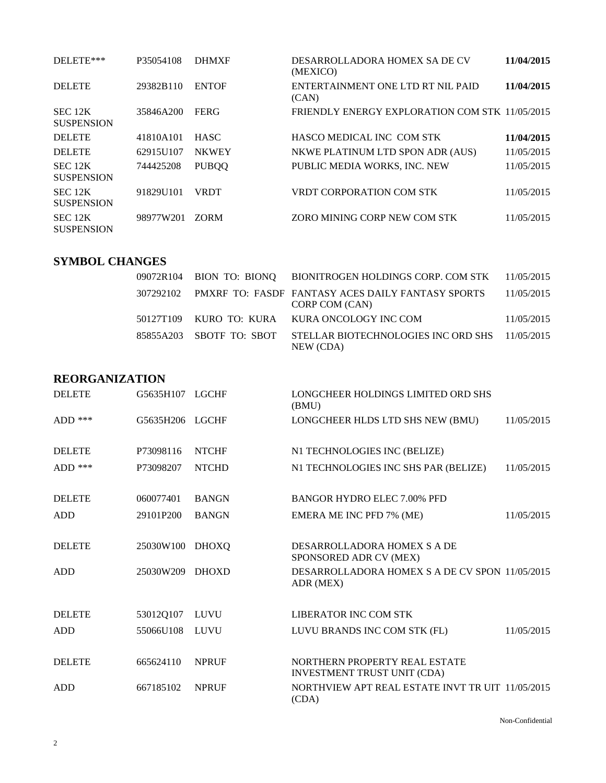| DELETE***                    | P35054108 | <b>DHMXF</b> | DESARROLLADORA HOMEX SA DE CV<br>(MEXICO)      | 11/04/2015 |
|------------------------------|-----------|--------------|------------------------------------------------|------------|
| <b>DELETE</b>                | 29382B110 | <b>ENTOF</b> | ENTERTAINMENT ONE LTD RT NIL PAID<br>(CAN)     | 11/04/2015 |
| SEC 12K<br><b>SUSPENSION</b> | 35846A200 | <b>FERG</b>  | FRIENDLY ENERGY EXPLORATION COM STK 11/05/2015 |            |
| <b>DELETE</b>                | 41810A101 | <b>HASC</b>  | HASCO MEDICAL INC COM STK                      | 11/04/2015 |
| <b>DELETE</b>                | 62915U107 | <b>NKWEY</b> | NKWE PLATINUM LTD SPON ADR (AUS)               | 11/05/2015 |
| SEC 12K<br><b>SUSPENSION</b> | 744425208 | <b>PUBQQ</b> | PUBLIC MEDIA WORKS, INC. NEW                   | 11/05/2015 |
| SEC 12K<br><b>SUSPENSION</b> | 91829U101 | <b>VRDT</b>  | VRDT CORPORATION COM STK                       | 11/05/2015 |
| SEC 12K<br><b>SUSPENSION</b> | 98977W201 | <b>ZORM</b>  | ZORO MINING CORP NEW COM STK                   | 11/05/2015 |

# **SYMBOL CHANGES**

|  | 09072R104 BION TO: BIONO BIONITROGEN HOLDINGS CORP. COM STK 11/05/2015                   |            |
|--|------------------------------------------------------------------------------------------|------------|
|  | 307292102 PMXRF TO: FASDF FANTASY ACES DAILY FANTASY SPORTS 11/05/2015<br>CORP COM (CAN) |            |
|  | 50127T109 KURO TO: KURA KURA ONCOLOGY INC COM                                            | 11/05/2015 |
|  | 85855A203 SBOTF TO: SBOT STELLAR BIOTECHNOLOGIES INC ORD SHS 11/05/2015<br>NEW (CDA)     |            |

## **REORGANIZATION**

| <b>DELETE</b> | G5635H107 LGCHF |              | LONGCHEER HOLDINGS LIMITED ORD SHS<br>(BMU)                         |            |
|---------------|-----------------|--------------|---------------------------------------------------------------------|------------|
| $ADD$ ***     | G5635H206 LGCHF |              | LONGCHEER HLDS LTD SHS NEW (BMU)                                    | 11/05/2015 |
| <b>DELETE</b> | P73098116       | <b>NTCHF</b> | N1 TECHNOLOGIES INC (BELIZE)                                        |            |
| $ADD$ ***     | P73098207       | <b>NTCHD</b> | N1 TECHNOLOGIES INC SHS PAR (BELIZE)                                | 11/05/2015 |
| <b>DELETE</b> | 060077401       | <b>BANGN</b> | BANGOR HYDRO ELEC 7.00% PFD                                         |            |
| <b>ADD</b>    | 29101P200       | <b>BANGN</b> | EMERA ME INC PFD 7% (ME)                                            | 11/05/2015 |
| <b>DELETE</b> | 25030W100       | <b>DHOXQ</b> | DESARROLLADORA HOMEX S A DE<br>SPONSORED ADR CV (MEX)               |            |
| <b>ADD</b>    | 25030W209       | <b>DHOXD</b> | DESARROLLADORA HOMEX S A DE CV SPON 11/05/2015<br>ADR (MEX)         |            |
| <b>DELETE</b> | 53012Q107       | <b>LUVU</b>  | LIBERATOR INC COM STK                                               |            |
| <b>ADD</b>    | 55066U108       | <b>LUVU</b>  | LUVU BRANDS INC COM STK (FL)                                        | 11/05/2015 |
| <b>DELETE</b> | 665624110       | <b>NPRUF</b> | NORTHERN PROPERTY REAL ESTATE<br><b>INVESTMENT TRUST UNIT (CDA)</b> |            |
| <b>ADD</b>    | 667185102       | <b>NPRUF</b> | NORTHVIEW APT REAL ESTATE INVT TR UIT 11/05/2015<br>(CDA)           |            |

Non-Confidential